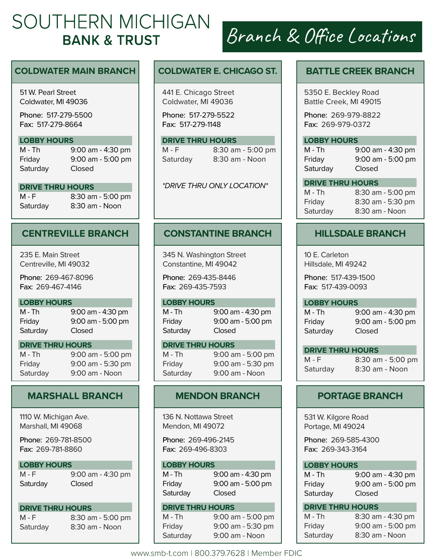# SOUTHERN MICHIGAN **BANK & TRUST**

### **COLDWATER MAIN BRANCH**

51 W. Pearl Street Coldwater, MI 49036

Phone: 517-279-5500 Fax: 517-279-8664

#### **LOBBY HOURS**

Saturday Closed

M - Th 9:00 am - 4:30 pm Friday 9:00 am - 5:00 pm

### **DRIVE THRU HOURS**

M - F 8:30 am - 5:00 pm Saturday 8:30 am - Noon

# **CENTREVILLE BRANCH**

235 E. Main Street Centreville, MI 49032

Phone: 269-467-8096 Fax: 269-467-4146

#### **LOBBY HOURS**

M - Th 9:00 am - 4:30 pm Friday 9:00 am - 5:00 pm Saturday Closed

#### **DRIVE THRU HOURS**

M - Th 9:00 am - 5:00 pm Friday 9:00 am - 5:30 pm Saturday 9:00 am - Noon

# **MARSHALL BRANCH**

1110 W. Michigan Ave. Marshall, MI 49068

Phone: 269-781-8500 Fax: 269-781-8860

#### **LOBBY HOURS**

M - F 9:00 am - 4:30 pm

Saturday Closed

#### **DRIVE THRU HOURS**

Saturday 8:30 am - Noon

M - F 8:30 am - 5:00 pm

## **COLDWATER E. CHICAGO ST.**

441 E. Chicago Street Coldwater, MI 49036

Phone: 517-279-5522 Fax: 517-279-1148

# **DRIVE THRU HOURS**<br>M - F 8:30 an

8:30 am - 5:00 pm Saturday 8:30 am - Noon

*\*DRIVE THRU ONLY LOCATION\**

# **CONSTANTINE BRANCH**

345 N. Washington Street Constantine, MI 49042

Phone: 269-435-8446 Fax: 269-435-7593

#### **LOBBY HOURS**

M - Th 9:00 am - 4:30 pm Friday 9:00 am - 5:00 pm Saturday Closed

**DRIVE THRU HOURS**<br>M - Th 9:00 ar

9:00 am - 5:00 pm Friday 9:00 am - 5:30 pm Saturday 9:00 am - Noon

# **MENDON BRANCH**

136 N. Nottawa Street Mendon, MI 49072

Phone: 269-496-2145 Fax: 269-496-8303

#### **LOBBY HOURS**

| M - Th   | 9:00 am - 4:30 pm   |
|----------|---------------------|
| Friday   | $9:00$ am - 5:00 pm |
| Saturday | <b>Closed</b>       |

#### **DRIVE THRU HOURS**

M - Th 9:00 am - 5:00 pm Friday 9:00 am - 5:30 pm Saturday 9:00 am - Noon

# Branch & Office Locations

# **BATTLE CREEK BRANCH**

5350 E. Beckley Road Battle Creek, MI 49015

Phone: 269-979-8822 Fax: 269-979-0372

### **LOBBY HOURS**

M - Th 9:00 am - 4:30 pm Friday 9:00 am - 5:00 pm Saturday Closed

**DRIVE THRU HOURS** M - Th 8:30 am - 5:00 pm

Friday 8:30 am - 5:30 pm Saturday 8:30 am - Noon

# **HILLSDALE BRANCH**

10 E. Carleton Hillsdale, MI 49242

Phone: 517-439-1500 Fax: 517-439-0093

#### **LOBBY HOURS**

Saturday Closed

M - Th 9:00 am - 4:30 pm Friday 9:00 am - 5:00 pm

**DRIVE THRU HOURS**

M - F 8:30 am - 5:00 pm Saturday 8:30 am - Noon

# **PORTAGE BRANCH**

531 W. Kilgore Road Portage, MI 49024

Phone: 269-585-4300 Fax: 269-343-3164

|  | <b>LOBBY HOURS</b> |  |  |
|--|--------------------|--|--|
|  |                    |  |  |

| M - Th   | 9:00 am - 4:30 pm |
|----------|-------------------|
| Friday   | 9:00 am - 5:00 pm |
| Saturday | Closed            |

### **DRIVE THRU HOURS**

| M - Th   | 8:30 am - 4:30 pm |
|----------|-------------------|
| Friday   | 9:00 am - 5:00 pm |
| Saturday | 8:30 am - Noon    |

www.smb-t.com | 800.379.7628 | Member FDIC